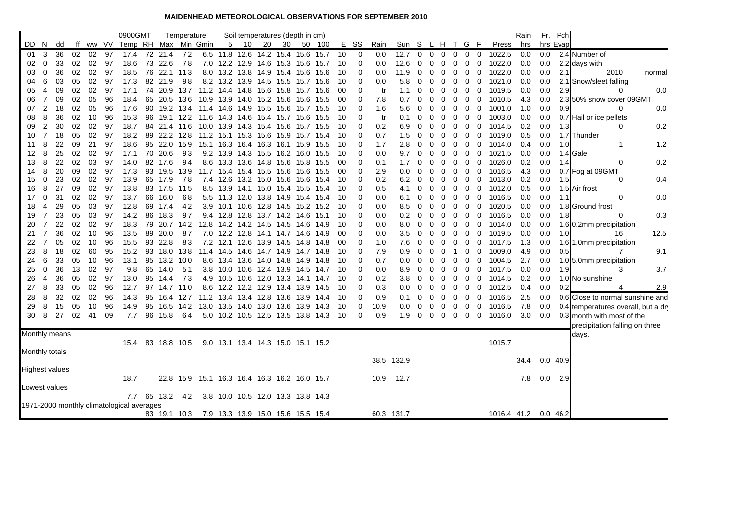## **MAIDENHEAD METEOROLOGICAL OBSERVATIONS FOR SEPTEMBER 2010**

|                       |                                                                                           |          |          |          |          | 0900GMT                       |          |              | Temperature      |                                                |                          |      |           | Soil temperatures (depth in cm)                                    |      |                                   |          |             |            |                 |                |          |              |        |                                |                  | Rain       |            | Fr. Pch    |                                    |        |
|-----------------------|-------------------------------------------------------------------------------------------|----------|----------|----------|----------|-------------------------------|----------|--------------|------------------|------------------------------------------------|--------------------------|------|-----------|--------------------------------------------------------------------|------|-----------------------------------|----------|-------------|------------|-----------------|----------------|----------|--------------|--------|--------------------------------|------------------|------------|------------|------------|------------------------------------|--------|
| DD N                  |                                                                                           | dd       |          |          |          | ff ww VV Temp RH Max Min Gmin |          |              |                  |                                                |                          | 5 10 | 20        | 30                                                                 |      | 50 100                            |          | E SS        | Rain       | Sun S L H T G F |                |          |              |        |                                | Press            | hrs        |            | hrs Evap   |                                    |        |
| 01                    | 3                                                                                         | 36       | 02       | 02       | 97       | 17.4                          |          | 72 21.4      | 7.2              |                                                |                          |      |           | 6.5 11.8 12.6 14.2 15.4 15.6 15.7                                  |      |                                   | 10       | 0           | 0.0        | 12.7            | $\overline{0}$ | $\Omega$ | $\mathbf{0}$ | 0      | 0<br>$\mathbf 0$               | 1022.5           | 0.0        | 0.0        |            | 2.4 Number of                      |        |
| 02                    | 0                                                                                         | 33       | 02       | 02       | 97       | 18.6                          | 73       | 22.6         | 7.8              |                                                |                          |      |           | 7.0 12.2 12.9 14.6 15.3 15.6 15.7                                  |      |                                   | 10       | 0           | 0.0        | 12.6            | 0              | 0        | 0            | 0      | 0<br>0                         | 1022.0           | 0.0        | 0.0        |            | 2.2 days with                      |        |
| 03                    | 0                                                                                         | 36       | 02       | 02       | 97       | 18.5                          |          | 76 22.1 11.3 |                  |                                                |                          |      |           | 8.0 13.2 13.8 14.9 15.4 15.6 15.6                                  |      |                                   | 10       | 0           | 0.0        | 11.9            | 0              | 0        | 0            | 0      | 0<br>$\overline{0}$            | 1022.0           | 0.0        | 0.0        | 2.1        | 2010                               | normal |
| 04                    | 6                                                                                         | 03       | 05       | 02       | 97       | 17.3                          |          | 82 21.9      | 9.8              |                                                |                          |      |           | 8.2 13.2 13.9 14.5 15.5 15.7 15.6                                  |      |                                   | 10       | 0           | 0.0        | 5.8             | 0              | 0        | 0            | 0      | 0<br>0                         | 1021.0           | 0.0        | 0.0        |            | 2.1 Snow/sleet falling             |        |
| 05                    | 4                                                                                         | 09       | 02       | 02       | 97       | 17.1                          | 74       | 20.9         | 13.7             |                                                |                          |      |           | 11.2 14.4 14.8 15.6 15.8                                           |      | 15.7 15.6                         | 00       | 0           | tr         | 1.1             | 0              | 0        | 0            | 0      | 0<br>0                         | 1019.5           | 0.0        | 0.0        | 2.9        | 0                                  | 0.0    |
| 06                    | 7                                                                                         | 09       | 02       | 05       | 96       | 18.4                          |          |              | 65 20.5 13.6     |                                                |                          |      |           | 10.9 13.9 14.0 15.2 15.6 15.6                                      |      | 15.5                              | 00       | 0           | 7.8        | 0.7             | 0              | 0        | 0            | 0      | 0<br>0                         | 1010.5           | 4.3        | 0.0        |            | 2.3 50% snow cover 09GMT           |        |
| 07                    | 2                                                                                         | 18       | 02       | 05       | 96       | 17.6                          |          |              | 90 19.2 13.4     |                                                |                          |      |           | 11.4 14.6 14.9 15.5 15.6 15.7 15.5                                 |      |                                   | 10       | 0           | 1.6        | 5.6             | 0              |          |              | 0      | 0<br>0                         | 1001.0           | 1.0        | 0.0        | 0.9        | ∩                                  | 0.0    |
| 08                    | 8                                                                                         | 36       | 02       | 10       | 96       | 15.3                          | 96       |              | 19.1 12.2        |                                                |                          |      |           | 11.6 14.3 14.6 15.4 15.7 15.6                                      |      | 15.5                              | 10       | 0           | tr         | 0.1             | 0              | 0        | 0            | 0      | 0<br>0                         | 1003.0           | 0.0        | 0.0        |            | 0.7 Hail or ice pellets            |        |
| 09                    | 2                                                                                         | 30       | 02       | 02       | 97       | 18.7                          | 84       |              | 21.4 11.6        |                                                | 10.0 13.9 14.3 15.4 15.6 |      |           |                                                                    | 15.7 | 15.5                              | 10       | $\Omega$    | 0.2        | 6.9             | 0              | 0        | 0            | 0      | 0<br>0                         | 1014.5           | 0.2        | 0.0        | 1.3        | 0                                  | 0.2    |
| 10                    | $\overline{7}$                                                                            | 18       | 05       | 02       | 97       | 18.2                          |          |              | 89 22.2 12.8     |                                                |                          |      |           | 11.2 15.1 15.3 15.6 15.9 15.7 15.4                                 |      |                                   | 10       | $\Omega$    | 0.7        | 1.5             | 0              | 0        | 0            | 0      | 0<br>$\mathbf 0$               | 1019.0           | 0.5        | 0.0        |            | 1.7 Thunder                        |        |
| 11                    | 8                                                                                         | 22       | 09       | 21       | 97       | 18.6                          |          |              | 95 22.0 15.9     |                                                |                          |      |           | 15.1 16.3 16.4 16.3 16.1 15.9 15.5                                 |      |                                   | 10       | 0           | 1.7        | 2.8             | 0              | 0        | 0            | 0      | 0<br>0                         | 1014.0           | 0.4        | 0.0        | 1.0        | -1                                 | 1.2    |
| 12                    | 8                                                                                         | 25       | 02       | 02       | 97       | 17.1                          | 70       | 20.6         | 9.3              |                                                |                          |      |           | 9.2 13.9 14.3 15.5 16.2 16.0 15.5                                  |      |                                   | 10       | 0           | 0.0        | 9.7             | 0              | 0        | 0            | 0      | 0<br>0                         | 1021.5           | 0.0        | 0.0        |            | 1.4 Gale                           |        |
| 13                    | 8                                                                                         | 22       | 02       | 03       | 97       | 14.0                          |          | 82 17.6      | 9.4              |                                                |                          |      |           | 8.6 13.3 13.6 14.8 15.6 15.8 15.5                                  |      |                                   | 00       | 0           | 0.1        | 1.7             | 0              | 0        | 0            | 0      | 0<br>0                         | 1026.0           | 0.2        | 0.0        | 1.4        | 0                                  | 0.2    |
| 14                    | 8                                                                                         | 20       | 09       | 02       | 97       | 17.3                          |          |              | 93 19.5 13.9     |                                                |                          |      |           | 11.7 15.4 15.4 15.5 15.6 15.6 15.5                                 |      |                                   | 00       | $\Omega$    | 2.9        | 0.0             | 0              |          | 0            | 0      | 0<br>- 0                       | 1016.5           | 4.3        | 0.0        |            | 0.7 Fog at 09GMT                   |        |
| 15                    | 0                                                                                         | 23       | 02       | 02       | 97       | 13.9                          |          | 65 17.9      | 7.8              |                                                |                          |      |           | 7.4 12.6 13.2 15.0 15.6 15.6                                       |      | 15.4                              | 10       | 0           | 0.2        | 6.2             | 0              | 0        | 0            | 0      | 0<br>$\overline{0}$            | 1013.0           | 0.2        | 0.0        | 1.5        | 0                                  | 0.4    |
| 16                    | 8                                                                                         | 27       | 09       | 02       | 97       | 13.8                          |          | 83 17.5 11.5 |                  |                                                |                          |      |           | 8.5 13.9 14.1 15.0 15.4 15.5                                       |      | 15.4                              | 10       | $\mathbf 0$ | 0.5        | 4.1             | 0              | 0        | 0            | 0      | 0<br>0                         | 1012.0           | 0.5        | 0.0        |            | 1.5 Air frost                      |        |
| 17                    | 0                                                                                         | 31       | 02       | 02       | 97       | 13.7                          | 66       | 16.0         | 6.8              |                                                |                          |      |           | 5.5 11.3 12.0 13.8 14.9 15.4                                       |      | 15.4                              | 10       | 0           | 0.0        | 6.1             | 0              | 0        | 0            | 0      | 0<br>$\overline{0}$            | 1016.5           | 0.0        | 0.0        | 1.1        | 0                                  | 0.0    |
| 18                    | 4<br>7                                                                                    | 29       | 05       | 03       | 97       | 12.8                          |          | 69 17.4      | 4.2              |                                                |                          |      |           |                                                                    |      | 3.9 10.1 10.6 12.8 14.5 15.2 15.2 | 10       | 0<br>0      | 0.0        | 8.5             | 0              | 0        | 0            | 0      | 0<br>0                         | 1020.5           | 0.0        | 0.0        |            | 1.8 Ground frost<br>$\Omega$       | 0.3    |
| 19<br>20              | 7                                                                                         | 23<br>22 | 05<br>02 | 03<br>02 | 97<br>97 | 14.2<br>18.3                  | 86<br>79 | 18.3         | 9.7<br>20.7 14.2 |                                                |                          |      |           | 9.4 12.8 12.8 13.7 14.2 14.6<br>12.8 14.2 14.2 14.5 14.5 14.6 14.9 |      | 15.1                              | 10<br>10 | 0           | 0.0<br>0.0 | 0.2<br>8.0      | 0<br>0         | 0<br>0   | 0<br>0       | 0<br>0 | 0<br>0<br>0<br>0               | 1016.5<br>1014.0 | 0.0<br>0.0 | 0.0<br>0.0 | 1.8        |                                    |        |
| 21                    | 7                                                                                         | 36       | 02       | 10       | 96       | 13.5                          |          | 89 20.0      | 8.7              |                                                |                          |      |           | 7.0 12.2 12.8 14.1 14.7 14.6 14.9                                  |      |                                   | 00       | 0           | 0.0        | 3.5             | 0              | 0        | 0            | 0      | $\mathbf{0}$<br>$\overline{0}$ | 1019.5           | 0.0        | 0.0        | 1.0        | 1.6 0.2mm precipitation<br>16      | 12.5   |
| 22                    | 7                                                                                         | 05       | 02       | 10       | 96       | 15.5                          |          | 93 22.8      | 8.3              |                                                |                          |      |           | 7.2 12.1 12.6 13.9 14.5 14.8 14.8                                  |      |                                   | 00       | 0           | 1.0        | 7.6             | 0              | 0        | 0            | 0      | 0<br>$\overline{0}$            | 1017.5           | 1.3        | 0.0        |            | 1.6 1.0mm precipitation            |        |
| 23                    | 8                                                                                         | 18       | 02       | 60       | 95       | 15.2                          | 93       | 18.0         | 13.8             | 11.4                                           | 14.5                     | 14.6 | 14.7 14.9 |                                                                    | 14.7 | 14.8                              | 10       | 0           | 7.9        | 0.9             | 0              |          | 0            |        | 0<br>0                         | 1009.0           | 4.9        | 0.0        | 0.5        | 7                                  | 9.1    |
| 24                    | 6                                                                                         | 33       | 05       | 10       | 96       | 13.1                          |          | 95 13.2 10.0 |                  |                                                |                          |      |           | 8.6 13.4 13.6 14.0 14.8 14.9 14.8                                  |      |                                   | 10       | 0           | 0.7        | 0.0             | 0              | 0        | 0            | 0      | 0<br>0                         | 1004.5           | 2.7        | 0.0        |            | 1.0 5.0mm precipitation            |        |
| 25                    | $\mathbf 0$                                                                               | 36       | 13       | 02       | 97       | 9.8                           |          | 65 14.0      | 5.1              |                                                |                          |      |           | 3.8 10.0 10.6 12.4 13.9 14.5 14.7                                  |      |                                   | 10       | 0           | 0.0        | 8.9             | 0              | 0        | 0            | 0      | 0<br>$\overline{0}$            | 1017.5           | 0.0        | 0.0        | 1.9        | 3                                  | 3.7    |
| 26                    | 4                                                                                         | 36       | 05       | 02       | 97       | 13.0                          | 95       | 14.4         | 7.3              |                                                |                          |      |           | 4.9 10.5 10.6 12.0 13.3 14.1 14.7                                  |      |                                   | 10       | 0           | 0.2        | 3.8             | 0              | 0        | 0            | 0      | 0<br>0                         | 1014.5           | 0.2        | 0.0        |            | 1.0 No sunshine                    |        |
| 27                    | 8                                                                                         | 33       | 05       | 02       | 96       | 12.7                          |          |              | 97 14.7 11.0     |                                                |                          |      |           | 8.6 12.2 12.2 12.9 13.4 13.9 14.5                                  |      |                                   | 10       | $\mathbf 0$ | 0.3        | 0.0             | 0              | 0        | 0            | 0      | 0<br>0                         | 1012.5           | 0.4        | 0.0        | 0.2        | 4                                  | 2.9    |
| 28                    | 8                                                                                         | 32       | 02       | 02       | 96       | 14.3                          | 95       | 16.4         | 12.7             |                                                |                          |      |           | 11.2 13.4 13.4 12.8 13.6 13.9 14.4                                 |      |                                   | 10       | 0           | 0.9        | 0.1             | 0              | 0        | 0            | 0      | 0<br>0                         | 1016.5           | 2.5        | 0.0        |            | 0.6 Close to normal sunshine and   |        |
| 29                    | 8                                                                                         | 15       | 05       | 10       | 96       | 14.9                          |          |              | 95 16.5 14.2     |                                                |                          |      |           | 13.0 13.5 14.0 13.0 13.6 13.9 14.3                                 |      |                                   | 10       | $\mathbf 0$ | 10.9       | 0.0             | 0              | 0        | 0            | 0      | 0<br>$\overline{0}$            | 1016.5           | 7.8        | 0.0        |            | 0.4 temperatures overall, but a dr |        |
| 30                    | 8                                                                                         | 27       | 02       | 41       | 09       | 7.7                           |          | 96 15.8      | 6.4              |                                                |                          |      |           | 5.0 10.2 10.5 12.5 13.5 13.8 14.3                                  |      |                                   | -10      | $\Omega$    | 0.9        | 1.9             | 0              | $\Omega$ | 0            | 0      | 0<br>$\overline{\mathbf{0}}$   | 1016.0           | 3.0        | 0.0        |            | 0.3 month with most of the         |        |
|                       |                                                                                           |          |          |          |          |                               |          |              |                  |                                                |                          |      |           |                                                                    |      |                                   |          |             |            |                 |                |          |              |        |                                |                  |            |            |            | precipitation falling on three     |        |
| Monthly means         |                                                                                           |          |          |          |          |                               |          |              |                  |                                                |                          |      |           |                                                                    |      |                                   |          |             |            |                 |                |          |              |        |                                |                  |            |            |            | days.                              |        |
|                       |                                                                                           |          |          |          |          | 15.4                          |          |              |                  | 83 18.8 10.5 9.0 13.1 13.4 14.3 15.0 15.1 15.2 |                          |      |           |                                                                    |      |                                   |          |             |            |                 |                |          |              |        |                                | 1015.7           |            |            |            |                                    |        |
| Monthly totals        |                                                                                           |          |          |          |          |                               |          |              |                  |                                                |                          |      |           |                                                                    |      |                                   |          |             |            |                 |                |          |              |        |                                |                  |            |            |            |                                    |        |
|                       |                                                                                           |          |          |          |          |                               |          |              |                  |                                                |                          |      |           |                                                                    |      |                                   |          |             |            | 38.5 132.9      |                |          |              |        |                                |                  | 34.4       |            | $0.0$ 40.9 |                                    |        |
| <b>Highest values</b> |                                                                                           |          |          |          |          |                               |          |              |                  |                                                |                          |      |           |                                                                    |      |                                   |          |             |            |                 |                |          |              |        |                                |                  |            |            |            |                                    |        |
|                       |                                                                                           |          |          |          |          | 18.7                          |          |              |                  | 22.8 15.9 15.1 16.3 16.4 16.3 16.2 16.0 15.7   |                          |      |           |                                                                    |      |                                   |          |             | 10.9       | - 12.7          |                |          |              |        |                                |                  | 7.8        |            | $0.0$ 2.9  |                                    |        |
| Lowest values         |                                                                                           |          |          |          |          |                               |          |              |                  |                                                |                          |      |           |                                                                    |      |                                   |          |             |            |                 |                |          |              |        |                                |                  |            |            |            |                                    |        |
|                       |                                                                                           |          |          |          |          |                               |          |              | 7.7 65 13.2 4.2  |                                                |                          |      |           |                                                                    |      |                                   |          |             |            |                 |                |          |              |        |                                |                  |            |            |            |                                    |        |
|                       | 3.8 10.0 10.5 12.0 13.3 13.8 14.3<br>1971-2000 monthly climatological averages            |          |          |          |          |                               |          |              |                  |                                                |                          |      |           |                                                                    |      |                                   |          |             |            |                 |                |          |              |        |                                |                  |            |            |            |                                    |        |
|                       | 1016.4 41.2<br>$0.0$ 46.2<br>83 19.1 10.3 7.9 13.3 13.9 15.0 15.6 15.5 15.4<br>60.3 131.7 |          |          |          |          |                               |          |              |                  |                                                |                          |      |           |                                                                    |      |                                   |          |             |            |                 |                |          |              |        |                                |                  |            |            |            |                                    |        |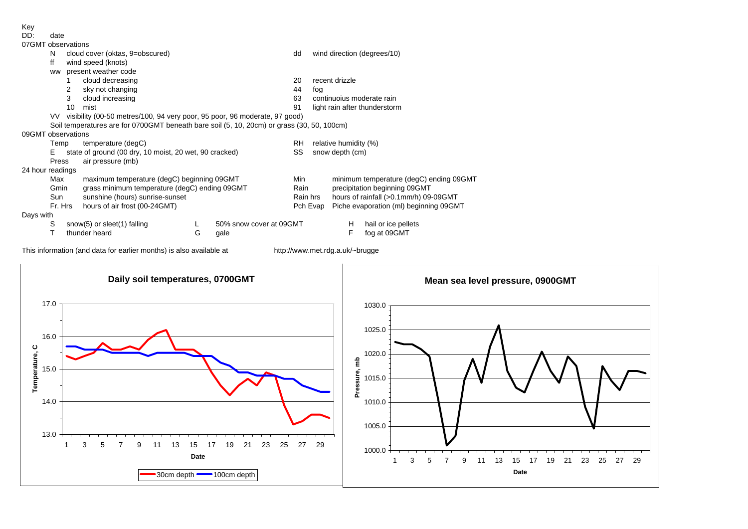| DD: | date |
|-----|------|
|     |      |

| 07GMT observations |  |                      |  |  |  |  |  |  |  |  |  |
|--------------------|--|----------------------|--|--|--|--|--|--|--|--|--|
|                    |  | N cloud cover (oktas |  |  |  |  |  |  |  |  |  |
|                    |  |                      |  |  |  |  |  |  |  |  |  |

|                  | N                                                                                          |                                                                               | cloud cover (oktas, 9=obscured)                        |   |                         |          |                                         | wind direction (degrees/10)           |                                        |  |  |
|------------------|--------------------------------------------------------------------------------------------|-------------------------------------------------------------------------------|--------------------------------------------------------|---|-------------------------|----------|-----------------------------------------|---------------------------------------|----------------------------------------|--|--|
|                  | ff                                                                                         |                                                                               | wind speed (knots)                                     |   |                         |          |                                         |                                       |                                        |  |  |
|                  | <b>WW</b>                                                                                  |                                                                               | present weather code                                   |   |                         |          |                                         |                                       |                                        |  |  |
|                  |                                                                                            |                                                                               | cloud decreasing                                       |   |                         | 20       |                                         | recent drizzle                        |                                        |  |  |
|                  |                                                                                            | 2                                                                             | sky not changing                                       |   |                         | 44       | fog                                     |                                       |                                        |  |  |
|                  |                                                                                            | 3                                                                             | cloud increasing                                       |   |                         | 63       |                                         |                                       | continuojus moderate rain              |  |  |
|                  |                                                                                            | 10                                                                            | mist                                                   |   |                         | 91       |                                         |                                       | light rain after thunderstorm          |  |  |
|                  |                                                                                            | VV visibility (00-50 metres/100, 94 very poor, 95 poor, 96 moderate, 97 good) |                                                        |   |                         |          |                                         |                                       |                                        |  |  |
|                  | Soil temperatures are for 0700GMT beneath bare soil (5, 10, 20cm) or grass (30, 50, 100cm) |                                                                               |                                                        |   |                         |          |                                         |                                       |                                        |  |  |
|                  | 09GMT observations                                                                         |                                                                               |                                                        |   |                         |          |                                         |                                       |                                        |  |  |
|                  | Temp                                                                                       |                                                                               | temperature (degC)                                     |   |                         | RH.      | relative humidity (%)                   |                                       |                                        |  |  |
|                  | Е                                                                                          |                                                                               | state of ground (00 dry, 10 moist, 20 wet, 90 cracked) |   |                         | SS       | snow depth (cm)                         |                                       |                                        |  |  |
|                  | Press                                                                                      |                                                                               | air pressure (mb)                                      |   |                         |          |                                         |                                       |                                        |  |  |
| 24 hour readings |                                                                                            |                                                                               |                                                        |   |                         |          |                                         |                                       |                                        |  |  |
|                  | Max                                                                                        |                                                                               | maximum temperature (degC) beginning 09GMT             |   |                         | Min      | minimum temperature (degC) ending 09GMT |                                       |                                        |  |  |
|                  |                                                                                            | grass minimum temperature (degC) ending 09GMT<br>Gmin                         |                                                        |   |                         | Rain     |                                         | precipitation beginning 09GMT         |                                        |  |  |
|                  | Sun                                                                                        | sunshine (hours) sunrise-sunset                                               |                                                        |   |                         | Rain hrs |                                         | hours of rainfall (>0.1mm/h) 09-09GMT |                                        |  |  |
|                  | Fr. Hrs                                                                                    |                                                                               | hours of air frost (00-24GMT)                          |   |                         |          | Pch Evap                                |                                       | Piche evaporation (ml) beginning 09GMT |  |  |
| Days with        |                                                                                            |                                                                               |                                                        |   |                         |          |                                         |                                       |                                        |  |  |
|                  | S                                                                                          |                                                                               | snow(5) or sleet(1) falling                            |   | 50% snow cover at 09GMT |          |                                         | H                                     | hail or ice pellets                    |  |  |
|                  |                                                                                            |                                                                               | thunder heard                                          | G | gale                    |          |                                         | F                                     | fog at 09GMT                           |  |  |

This information (and data for earlier months) is also available at http://www.met.rdg.a.uk/~brugge